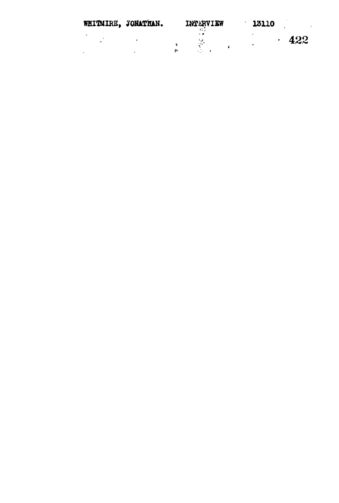| WHITMIRE, JONATHAN. | INTERVIEW |                                                 | 13110 |     |
|---------------------|-----------|-------------------------------------------------|-------|-----|
|                     |           | . .<br>$\mathcal{F}(\mathcal{L}_{\mathcal{A}})$ | ۰     | 422 |
|                     | Ţ.        |                                                 |       |     |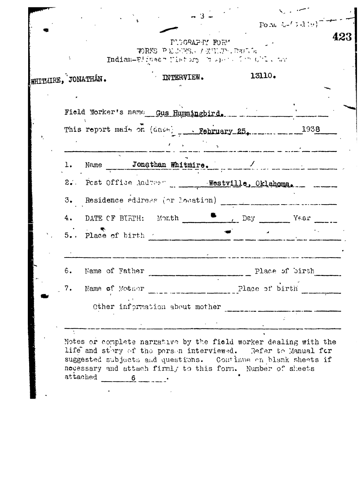|                              | <b>PLOGRAP-N FORM</b><br>WORKS PECURES, INTILIE RAINS<br>Indian-Flinesh Mistury (bushed for Cil. and |        |                                                                               |  |  |
|------------------------------|------------------------------------------------------------------------------------------------------|--------|-------------------------------------------------------------------------------|--|--|
| WHITMIRE, JONATHAN.          | NTERVIEW.                                                                                            | 13110. |                                                                               |  |  |
|                              |                                                                                                      |        |                                                                               |  |  |
|                              | Field Worker's name Gus Hummingbird.                                                                 |        |                                                                               |  |  |
|                              | This report mais on (dave) Rebruary 25, 1938                                                         |        |                                                                               |  |  |
|                              | $\mathcal{F} = \mathcal{F} = \mathcal{F} \mathcal{F} = \mathcal{F}$                                  |        |                                                                               |  |  |
|                              | 1. Name Jonathan Whitmire.                                                                           |        |                                                                               |  |  |
|                              | 2. Post Office Address ______ Westville, Oklahoma.                                                   |        |                                                                               |  |  |
|                              | 3. Residence address (or location)                                                                   |        | .<br>Nakuma ya punta kata mpangun sayu yao kata ya kata wa mujibi namaziwa ma |  |  |
|                              |                                                                                                      |        |                                                                               |  |  |
| $5.$ . Place of birth $\sim$ |                                                                                                      |        |                                                                               |  |  |
|                              |                                                                                                      |        |                                                                               |  |  |
| Name of Father<br>6.         |                                                                                                      |        | Place of birth                                                                |  |  |
| 7.                           |                                                                                                      |        |                                                                               |  |  |
|                              | Other information about mother                                                                       |        |                                                                               |  |  |
|                              |                                                                                                      |        |                                                                               |  |  |

suggested subjects and questions. Continue on blank sheets if necessary and attach firmly to this form. Number of sheets attached  $\underline{\qquad \qquad }$ 

 $\overline{a}$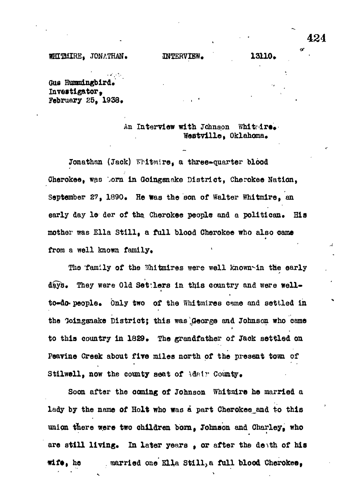#### WHITHIRE, JONATHAN. INTERVIEW. 13110.

Gus Hummingbird. Investigator. February 25. 1938.

#### An Interview with Johnson Whiteire. Westville, Oklahoma.

Jonathan (Jack) Whitmire, a three-quarter blood Gherokee, was born in Goinganake District, Cherokee Nation, September 27, 1890. He was the son of Walter Whitmire, an early day le der of the Cherokee people and a politican. His mother was Ella Still, a full blood Cherokee who also came from a well known family. **(All Contracts)** 

The family of the Whitmires were well known in the early days. They were Old Settlers in this country and were wellto-do- people. Only two of the Whitmires came and settled in the Goingsnake District; this was George and Johnson who came to this country in 1829. The grandfather of Jack settled on Peavine Creek about five miles north of the present town of Stilwell, now the county seat of Adair County.

Soon after the coming of Johnson Whitmire he married a lady by the name of Holt who was a part Cherokee\_and to this union there were two children born, Johnson and Charley, who are still living. In later years , or after the death of his wife, he married one Ella Still, a full blood Cherokee,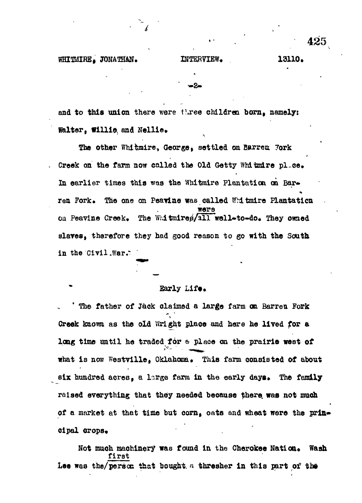## WHITMIRE JONATHAN. INTERVIEW. 13110.

and to this union there were three children born, namely: Walter, Willie, and Nellie.

The other Whitmire, George, settled on Barren Fork Creek on the farm now called the Old Getty Whitmire pl.ce. In earlier times this was the Whitmire Plantation on Barren Fork. The one on Peavine was called Whitmire Plantation **Were** on Peavine Creek. The WRI thire plan well-to-do. They owned slaves, therefore they had good reason to go with the South in the Civil .war.'

#### Early Life.

The father of Jack claimed a large farm on Barren Fork Creek kaom as the old Wright place and here he lived for a long time until he traded for a place on the prairie west of what is now Westville, Oklahoma. This farm consisted of about six hundred acres. a large farm in the early days. The family raised everything that they needed because there was not much of a market at that time but corn, oats and wheat were the principal crops.

Not much machinery was found in the Cherokee Nation. Wash first Lee was the/person that bought a thresher in this part of the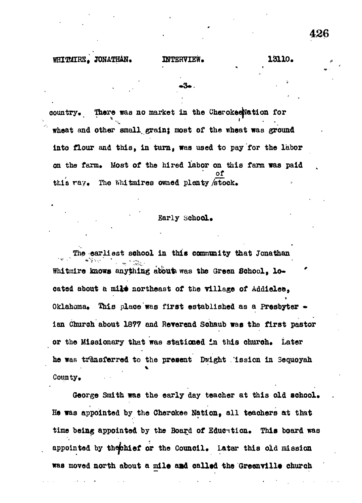## **JONATHAN. INTERVIEW. 13110 .**

**country.** There was no market in the Cherokeenation for **wheat and other small, grain} most of the wheat was ground Into flour and this, in turn, was used to pay for the labor on the farm. Most of the hired labor on this farm was paid \* of this ray. The WMtmires owned plenty/stock.**

#### Early School.

**The earliest school in this community that Jonathan** Whitmire knows anything about was the Green School, located about a mile northeast of the village of Addielee, **Oklahoma. This place was first established as a Presbyter • ian Church about 1877 and Reverend Sohaub was the first pastor or the Missionary that was stationed In this ohuroh. Later he was transferred to the present Dwight lesion in Sequoyah County.**

**George Smith was the early day teacher at this old school. He was appointed by the Cherokee Nation, all teachers at that time being appointed by the Board of Education. This board was appointed by thejchief or the Council, Later this old mission was moved north about a mile and called the Greenville church**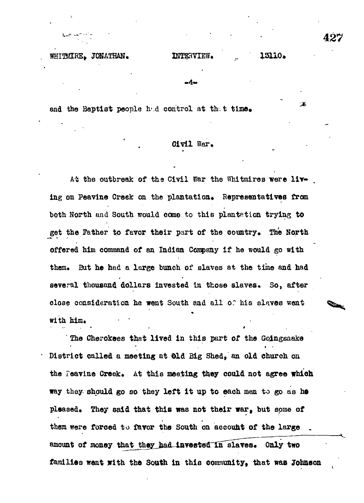#### WHITMIRE. JONATHAN. INTERVIEW.

# 13110.

実

-A

and the Baptist people had control at that time.

# Civil War,

At the outbreak of the Civil War the Whitmires were living on Peavine Creek on the plantation. Representatives from **both North and South would come to this plantation trying to get the Father to favor their part of the country. The North offered him command of an Indian Company if he would go with** them. But he had a large bunch of slaves at the time and had several thousand dollars invested in those slaves. So, after **close consideration he went South and all or his slaves went with him.** 

**' The Cherokees that lived in this part of the Goingsaake District called a meeting at did Big Shed, an old church on** the Feavine Creek. At this meeting they could not agree which **way they should go so they left it up to each men to go as he** pleased. They said that this was not their war, but some of **them were forced to favor the South on account of the large .** amount of money that they had invested in slaves. Only two families went with the South in this community, that was Johnson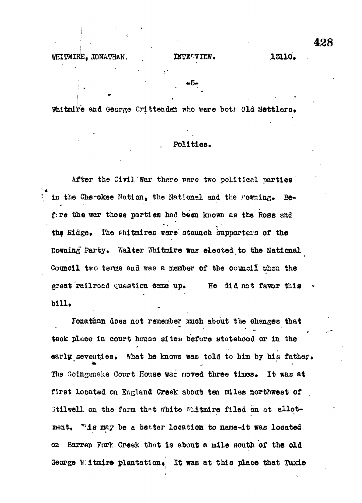Whitmire and George Crittenden who were both Old Settlers.

#### . **Politics.**

After the Civil War there were two political parties in the Cherokee Nation, the National and the Downing. Before the war these parties had been known as the Ross and the Ridge. The Whitmires were staunch supporters of the Downing Party. Walter Whitmire was elected to the National Council two terms and was a member of the council when the great railroad question came up. He did not favor this bill.

Jonathan does not remember much about the changes that took place in court house sites before statehood or in the •f early seventies. What he knows was told to him by his father. The Goingsnake Court House war moved three times. It was at first located on England Creek about ten miles northwest of 3tilwell on the farm that white Whitmire filed on at allotment, "is may be a better location to name-it was located on Barren Fork Creek that is about a mile south of the old George Witmire plantation. It was at this place that Tuxic